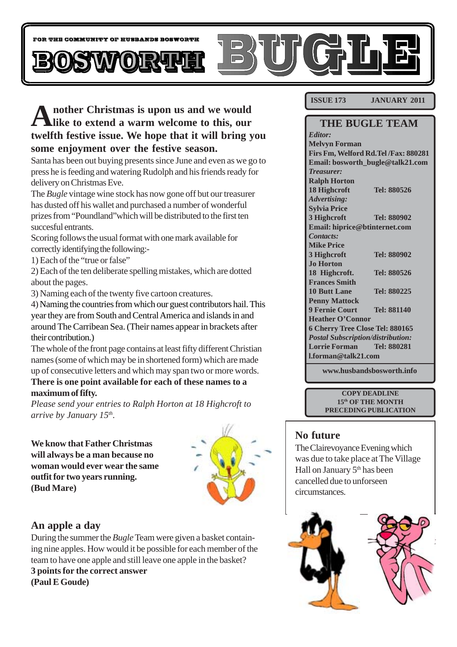

# **Another Christmas is upon us and we would like to extend a warm welcome to this, our twelfth festive issue. We hope that it will bring you some enjoyment over the festive season.**

Santa has been out buying presents since June and even as we go to press he is feeding and watering Rudolph and his friends ready for delivery on Christmas Eve.

The *Bugle* vintage wine stock has now gone off but our treasurer has dusted off his wallet and purchased a number of wonderful prizes from "Poundland"which will be distributed to the first ten succesful entrants.

Scoring follows the usual format with one mark available for correctly identifying the following:-

1) Each of the "true or false"

2) Each of the ten deliberate spelling mistakes, which are dotted about the pages.

3) Naming each of the twenty five cartoon creatures.

4) Naming the countries from which our guest contributors hail. This year they are from South and Central America and islands in and around The Carribean Sea. (Their names appear in brackets after their contribution.)

The whole of the front page contains at least fifty different Christian names (some of which may be in shortened form) which are made up of consecutive letters and which may span two or more words.

**There is one point available for each of these names to a maximum of fifty.**

*Please send your entries to Ralph Horton at 18 Highcroft to arrive by January 15th.*

**We know that Father Christmas will always be a man because no woman would ever wear the same outfit for two years running. (Bud Mare)**



### **An apple a day**

During the summer the *Bugle* Team were given a basket containing nine apples. How would it be possible for each member of the team to have one apple and still leave one apple in the basket? **3 points for the correct answer (Paul E Goude)**

**ISSUE 173 JANUARY 2011**

### **THE BUGLE TEAM**

*Editor:* **Melvyn Forman Firs Fm, Welford Rd.Tel /Fax: 880281 Email: bosworth\_bugle@talk21.com** *Treasurer:* **Ralph Horton 18 Highcroft Tel: 880526** *Advertising:* **Sylvia Price 3 Highcroft Tel: 880902 Email: hiprice@btinternet.com** *Contacts:* **Mike Price 3 Highcroft Tel: 880902 Jo Horton 18 Highcroft. Tel: 880526 Frances Smith 10 Butt Lane Tel: 880225 Penny Mattock 9 Fernie Court Tel: 881140 Heather O'Connor 6 Cherry Tree Close Tel: 880165** *Postal Subscription/distribution:* **Lorrie Forman Tel: 880281 l.forman@talk21.com**

**www.husbandsbosworth.info**

**COPY DEADLINE 15th OF THE MONTH PRECEDING PUBLICATION**

### **No future**

The Clairevoyance Evening which was due to take place at The Village Hall on January 5<sup>th</sup> has been cancelled due to unforseen circumstances.

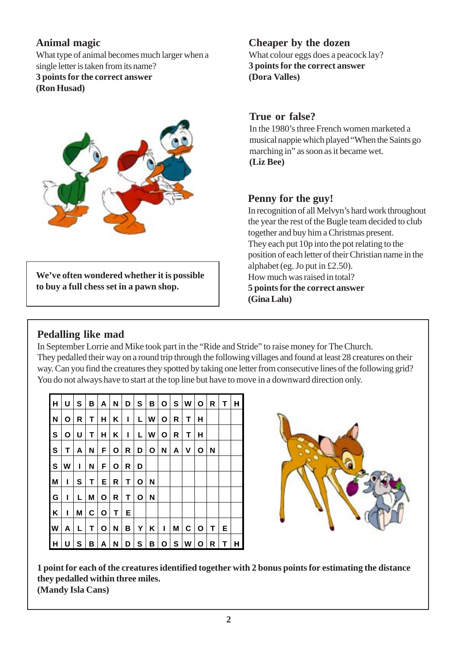## **Animal magic**

What type of animal becomes much larger when a single letter is taken from its name? **3 points for the correct answer (Ron Husad)**



**We've often wondered whether it is possible to buy a full chess set in a pawn shop.**

## **Cheaper by the dozen**

What colour eggs does a peacock lay? **3 points for the correct answer (Dora Valles)**

### **True or false?**

In the 1980's three French women marketed a musical nappie which played "When the Saints go marching in" as soon as it became wet. **(Liz Bee)**

## **Penny for the guy!**

In recognition of all Melvyn's hard work throughout the year the rest of the Bugle team decided to club together and buy him a Christmas present. They each put 10p into the pot relating to the position of each letter of their Christian name in the alphabet (eg. Jo put in £2.50). How much was raised in total? **5 points for the correct answer (Gina Lalu)**

## **Pedalling like mad**

In September Lorrie and Mike took part in the "Ride and Stride" to raise money for The Church. They pedalled their way on a round trip through the following villages and found at least 28 creatures on their way. Can you find the creatures they spotted by taking one letter from consecutive lines of the following grid? You do not always have to start at the top line but have to move in a downward direction only.

| lн           | U | S | в | A | N | D | S | В            | O | S | W | O | R | Т | н |
|--------------|---|---|---|---|---|---|---|--------------|---|---|---|---|---|---|---|
| N            | O | R | т | н | Κ | ı | L | W            | Ο | R | т | н |   |   |   |
| $\mathbf{s}$ | О | U | Т | н | Κ | ı | L | W            | Ο | R | т | Н |   |   |   |
| l S          | т | А | N | F | О | R | D | $\mathbf{o}$ | N | A | ٧ | Ο | N |   |   |
| l S          | W | L | N | F | О | R | D |              |   |   |   |   |   |   |   |
| M            | ı | S | т | Е | R | т | O | N            |   |   |   |   |   |   |   |
| G            | ı | L | M | Ο | R | т | Ο | N            |   |   |   |   |   |   |   |
| K            | ı | M | C | O | Т | Е |   |              |   |   |   |   |   |   |   |
| W            | A | L | Т | O | N | В | Y | Κ            | ı | M | C | O | Т | Е |   |
| H            | U | S | В | Α | N | D | S | В            | О | S | W | Ο | R | т | н |



**1 point for each of the creatures identified together with 2 bonus points for estimating the distance they pedalled within three miles. (Mandy Isla Cans)**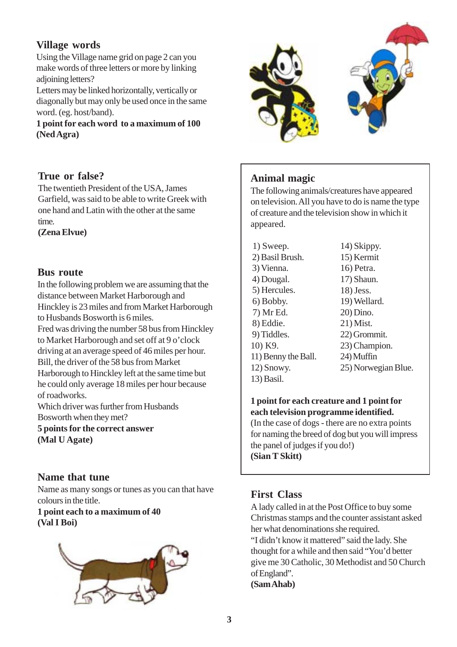## **Village words**

Using the Village name grid on page 2 can you make words of three letters or more by linking adjoining letters?

Letters may be linked horizontally, vertically or diagonally but may only be used once in the same word. (eg. host/band).

**1 point for each word to a maximum of 100 (Ned Agra)**

#### **True or false?**

The twentieth President of the USA, James Garfield, was said to be able to write Greek with one hand and Latin with the other at the same time.

**(Zena Elvue)**

#### **Bus route**

In the following problem we are assuming that the distance between Market Harborough and Hinckley is 23 miles and from Market Harborough to Husbands Bosworth is 6 miles.

Fred was driving the number 58 bus from Hinckley to Market Harborough and set off at 9 o'clock driving at an average speed of 46 miles per hour. Bill, the driver of the 58 bus from Market Harborough to Hinckley left at the same time but he could only average 18 miles per hour because of roadworks.

Which driver was further from Husbands Bosworth when they met?

**5 points for the correct answer (Mal U Agate)**

### **Name that tune**

Name as many songs or tunes as you can that have colours in the title.

#### **1 point each to a maximum of 40 (Val I Boi)**





## **Animal magic**

The following animals/creatures have appeared on television. All you have to do is name the type of creature and the television show in which it appeared.

- 1) Sweep. 2) Basil Brush. 3) Vienna. 4) Dougal. 5) Hercules. 6) Bobby. 7) Mr Ed. 8) Eddie. 9) Tiddles. 10) K9. 11) Benny the Ball. 12) Snowy. 13) Basil. 14) Skippy.
	- 15) Kermit 16) Petra. 17) Shaun. 18) Jess. 19) Wellard. 20) Dino. 21) Mist. 22) Grommit. 23) Champion. 24) Muffin 25) Norwegian Blue.

#### **1 point for each creature and 1 point for each television programme identified.**

(In the case of dogs - there are no extra points for naming the breed of dog but you will impress the panel of judges if you do!) **(Sian T Skitt)**

### **First Class**

A lady called in at the Post Office to buy some Christmas stamps and the counter assistant asked her what denominations she required. "I didn't know it mattered" said the lady. She thought for a while and then said "You'd better give me 30 Catholic, 30 Methodist and 50 Church of England". **(Sam Ahab)**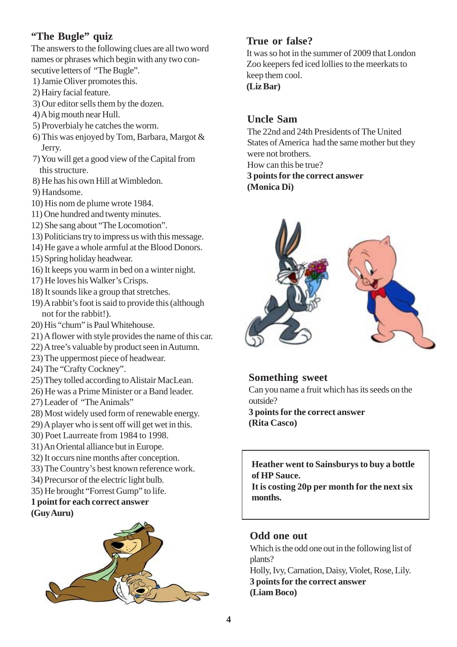## **"The Bugle" quiz**

The answers to the following clues are all two word names or phrases which begin with any two consecutive letters of "The Bugle".

- 1) Jamie Oliver promotes this.
- 2) Hairy facial feature.
- 3) Our editor sells them by the dozen.
- 4) A big mouth near Hull.
- 5) Proverbialy he catches the worm.
- 6) This was enjoyed by Tom, Barbara, Margot & Jerry.
- 7) You will get a good view of the Capital from this structure.
- 8) He has his own Hill at Wimbledon.

9) Handsome.

- 10) His nom de plume wrote 1984.
- 11) One hundred and twenty minutes.
- 12) She sang about "The Locomotion".
- 13) Politicians try to impress us with this message.
- 14) He gave a whole armful at the Blood Donors.
- 15) Spring holiday headwear.
- 16) It keeps you warm in bed on a winter night.
- 17) He loves his Walker's Crisps.
- 18) It sounds like a group that stretches.
- 19) A rabbit's foot is said to provide this (although not for the rabbit!).
- 20) His "chum" is Paul Whitehouse.
- 21) A flower with style provides the name of this car.
- 22) A tree's valuable by product seen in Autumn.
- 23) The uppermost piece of headwear.
- 24) The "Crafty Cockney".
- 25) They tolled according to Alistair MacLean.
- 26) He was a Prime Minister or a Band leader.
- 27) Leader of "The Animals"
- 28) Most widely used form of renewable energy.
- 29) A player who is sent off will get wet in this.
- 30) Poet Laurreate from 1984 to 1998.
- 31) An Oriental alliance but in Europe.
- 32) It occurs nine months after conception.
- 33) The Country's best known reference work.
- 34) Precursor of the electric light bulb.
- 35) He brought "Forrest Gump" to life.

#### **1 point for each correct answer (Guy Auru)**



## **True or false?**

It was so hot in the summer of 2009 that London Zoo keepers fed iced lollies to the meerkats to keep them cool. **(Liz Bar)**

### **Uncle Sam**

The 22nd and 24th Presidents of The United States of America had the same mother but they were not brothers. How can this be true? **3 points for the correct answer (Monica Di)**



#### **Something sweet**

Can you name a fruit which has its seeds on the outside?

**3 points for the correct answer (Rita Casco)**

**Heather went to Sainsburys to buy a bottle of HP Sauce.**

**It is costing 20p per month for the next six months.**

### **Odd one out**

Which is the odd one out in the following list of plants? Holly, Ivy, Carnation, Daisy, Violet, Rose, Lily. **3 points for the correct answer (Liam Boco)**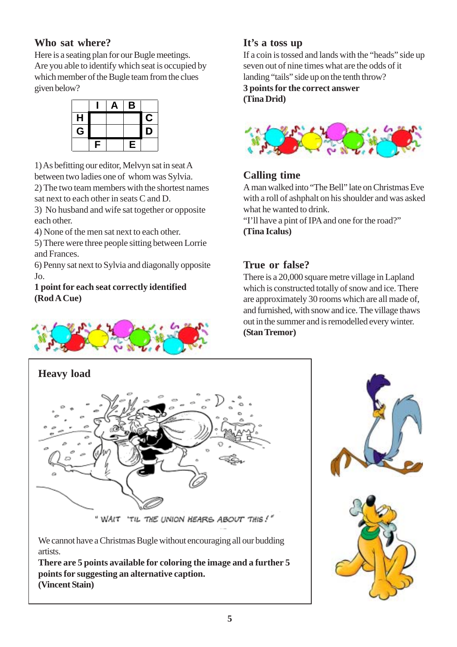## **Who sat where?**

Here is a seating plan for our Bugle meetings. Are you able to identify which seat is occupied by which member of the Bugle team from the clues given below?

|   |   | Д | B |   |
|---|---|---|---|---|
| H |   |   |   | С |
| G |   |   |   | D |
|   | F |   | E |   |

1) As befitting our editor, Melvyn sat in seat A between two ladies one of whom was Sylvia.

2) The two team members with the shortest names sat next to each other in seats C and D.

3) No husband and wife sat together or opposite each other.

4) None of the men sat next to each other.

5) There were three people sitting between Lorrie and Frances.

6) Penny sat next to Sylvia and diagonally opposite Jo.

#### **1 point for each seat correctly identified (Rod A Cue)**



## **It's a toss up**

If a coin is tossed and lands with the "heads" side up seven out of nine times what are the odds of it landing "tails" side up on the tenth throw? **3 points for the correct answer (Tina Drid)**



## **Calling time**

A man walked into "The Bell" late on Christmas Eve with a roll of ashphalt on his shoulder and was asked what he wanted to drink.

"I'll have a pint of IPA and one for the road?" **(Tina Icalus)**

## **True or false?**

There is a 20,000 square metre village in Lapland which is constructed totally of snow and ice. There are approximately 30 rooms which are all made of, and furnished, with snow and ice. The village thaws out in the summer and is remodelled every winter. **(Stan Tremor)**



artists.

**There are 5 points available for coloring the image and a further 5 points for suggesting an alternative caption. (Vincent Stain)**

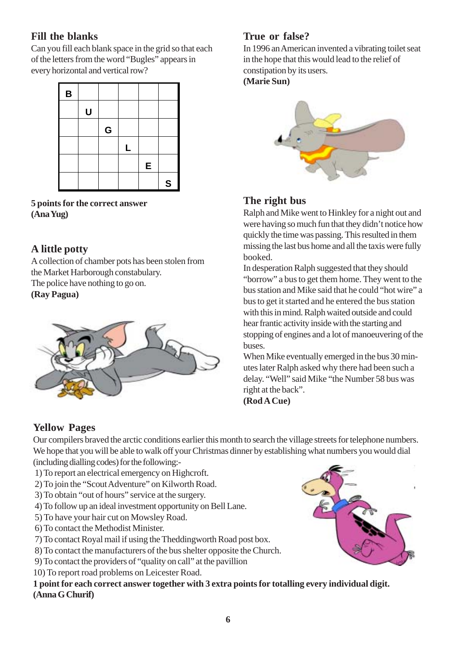## **Fill the blanks**

Can you fill each blank space in the grid so that each of the letters from the word "Bugles" appears in every horizontal and vertical row?



**5 points for the correct answer (Ana Yug)**

## **A little potty**

A collection of chamber pots has been stolen from the Market Harborough constabulary. The police have nothing to go on.

**(Ray Pagua)**



## **True or false?**

In 1996 an American invented a vibrating toilet seat in the hope that this would lead to the relief of constipation by its users.

**(Marie Sun)**



## **The right bus**

Ralph and Mike went to Hinkley for a night out and were having so much fun that they didn't notice how quickly the time was passing. This resulted in them missing the last bus home and all the taxis were fully booked.

In desperation Ralph suggested that they should "borrow" a bus to get them home. They went to the bus station and Mike said that he could "hot wire" a bus to get it started and he entered the bus station with this in mind. Ralph waited outside and could hear frantic activity inside with the starting and stopping of engines and a lot of manoeuvering of the buses.

When Mike eventually emerged in the bus 30 minutes later Ralph asked why there had been such a delay. "Well" said Mike "the Number 58 bus was right at the back".

**(Rod A Cue)**

## **Yellow Pages**

Our compilers braved the arctic conditions earlier this month to search the village streets for telephone numbers. We hope that you will be able to walk off your Christmas dinner by establishing what numbers you would dial (including dialling codes) for the following:-

- 1) To report an electrical emergency on Highcroft.
- 2) To join the "Scout Adventure" on Kilworth Road.
- 3) To obtain "out of hours" service at the surgery.
- 4) To follow up an ideal investment opportunity on Bell Lane.
- 5) To have your hair cut on Mowsley Road.
- 6) To contact the Methodist Minister.
- 7) To contact Royal mail if using the Theddingworth Road post box.
- 8) To contact the manufacturers of the bus shelter opposite the Church.
- 9) To contact the providers of "quality on call" at the pavillion
- 10) To report road problems on Leicester Road.

**1 point for each correct answer together with 3 extra points for totalling every individual digit. (Anna G Churif)**

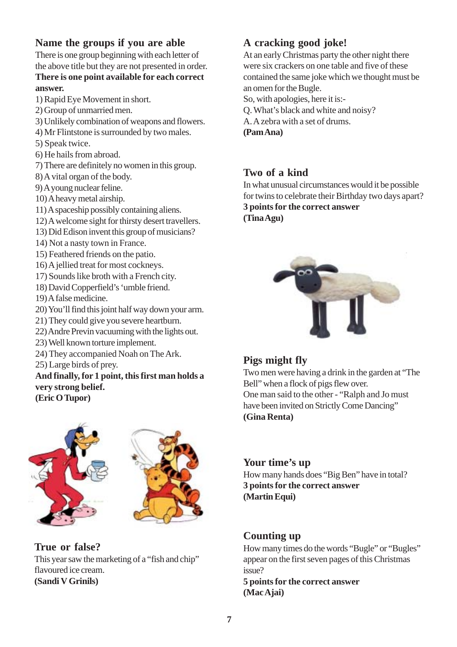## **Name the groups if you are able**

There is one group beginning with each letter of the above title but they are not presented in order. **There is one point available for each correct answer.**

1) Rapid Eye Movement in short.

- 2) Group of unmarried men.
- 3) Unlikely combination of weapons and flowers.
- 4) Mr Flintstone is surrounded by two males.
- 5) Speak twice.
- 6) He hails from abroad.
- 7) There are definitely no women in this group.
- 8) A vital organ of the body.
- 9) A young nuclear feline.
- 10) A heavy metal airship.
- 11) A spaceship possibly containing aliens.
- 12) A welcome sight for thirsty desert travellers.
- 13) Did Edison invent this group of musicians?
- 14) Not a nasty town in France.
- 15) Feathered friends on the patio.
- 16) A jellied treat for most cockneys.
- 17) Sounds like broth with a French city.
- 18) David Copperfield's 'umble friend.
- 19) A false medicine.
- 20) You'll find this joint half way down your arm.
- 21) They could give you severe heartburn.
- 22) Andre Previn vacuuming with the lights out.
- 23) Well known torture implement.
- 24) They accompanied Noah on The Ark.
- 25) Large birds of prey.

## **And finally, for 1 point, this first man holds a very strong belief.**

**(Eric O Tupor)**



### **True or false?**

This year saw the marketing of a "fish and chip" flavoured ice cream. **(Sandi V Grinils)**

## **A cracking good joke!**

At an early Christmas party the other night there were six crackers on one table and five of these contained the same joke which we thought must be an omen for the Bugle.

So, with apologies, here it is:-

- Q. What's black and white and noisy?
- A. A zebra with a set of drums.

**(Pam Ana)**

### **Two of a kind**

In what unusual circumstances would it be possible for twins to celebrate their Birthday two days apart? **3 points for the correct answer (Tina Agu)**



### **Pigs might fly**

Two men were having a drink in the garden at "The Bell" when a flock of pigs flew over. One man said to the other - "Ralph and Jo must have been invited on Strictly Come Dancing" **(Gina Renta)**

#### **Your time's up**

How many hands does "Big Ben" have in total? **3 points for the correct answer (Martin Equi)**

## **Counting up**

How many times do the words "Bugle" or "Bugles" appear on the first seven pages of this Christmas issue?

**5 points for the correct answer (Mac Ajai)**